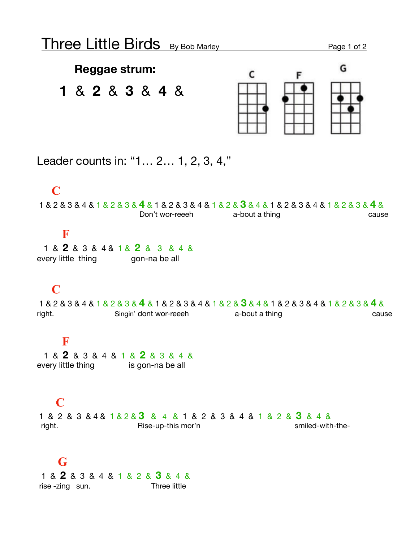### **Reggae strum:**

# **1** & **2** & **3** & **4** &



Leader counts in: "1… 2… 1, 2, 3, 4,"

### **C**

1 & 2 & 3 & 4 & 1 & 2 & 3 & **4** & 1 & 2 & 3 & 4 & 1 & 2 & **3** & 4 & 1 & 2 & 3 & 4 & 1 & 2 & 3 & **4** & Don't wor-reeeh a-bout a thing cause

### **F**

 1 & **2** & 3 & 4 & 1 & **2** & 3 & 4 & every little thing gon-na be all

## **C**

1 & 2 & 3 & 4 & 1 & 2 & 3 & **4** & 1 & 2 & 3 & 4 & 1 & 2 & **3** & 4 & 1 & 2 & 3 & 4 & 1 & 2 & 3 & **4** & right. Singin' dont wor-reeeh a-bout a thing cause cause

### **F**

 1 & **2** & 3 & 4 & 1 & **2** & 3 & 4 & every little thing is gon-na be all

### **C**

1 & 2 & 3 & 4 & 1 & 2 & **3** & 4 & 1 & 2 & 3 & 4 & 1 & 2 & **3** & 4 & right. The right. Rise-up-this mor'n contained-with-the-

### **G**

 1 & **2** & 3 & 4 & 1 & 2 & **3** & 4 & rise -zing sun. Three little